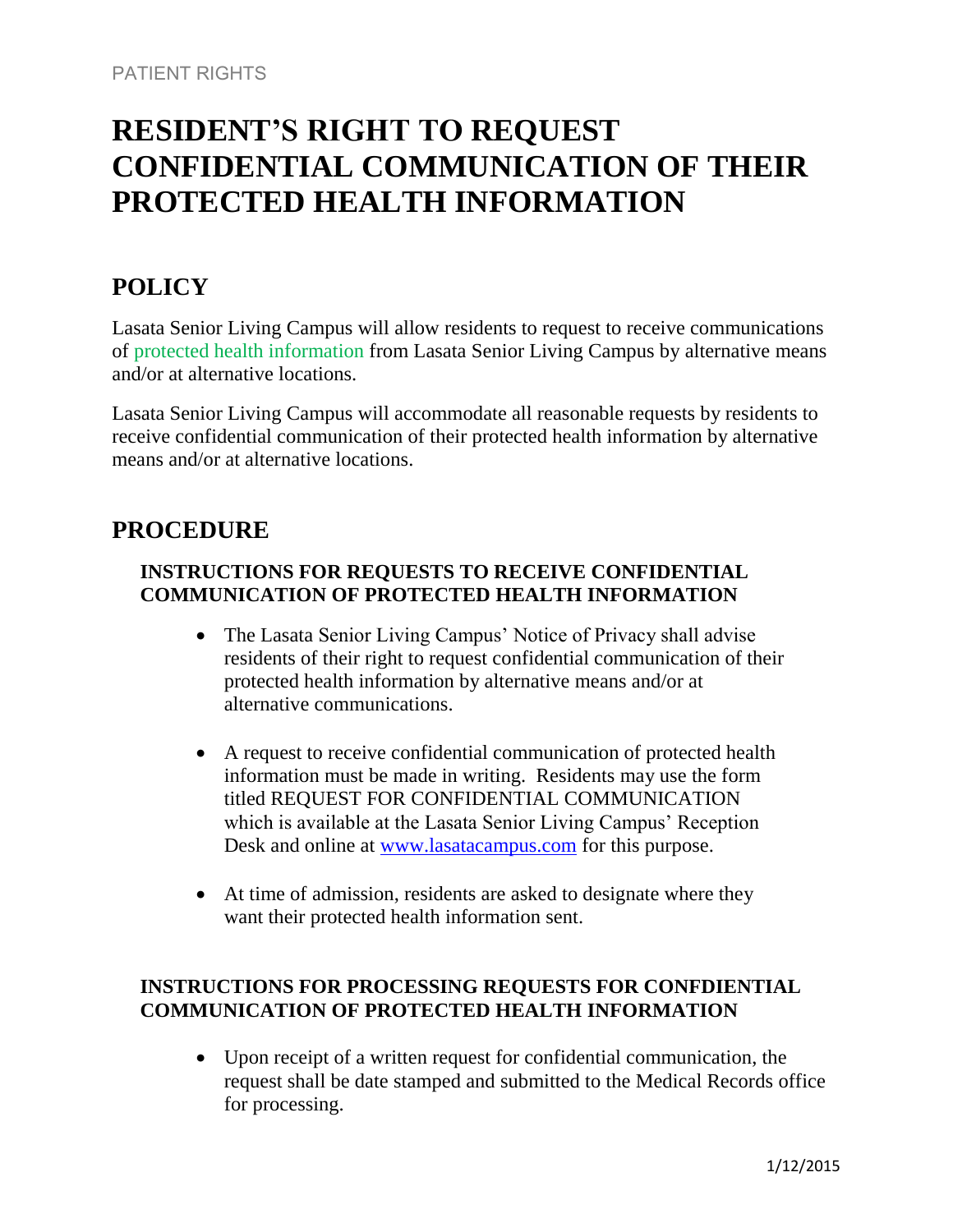# **RESIDENT'S RIGHT TO REQUEST CONFIDENTIAL COMMUNICATION OF THEIR PROTECTED HEALTH INFORMATION**

## **POLICY**

Lasata Senior Living Campus will allow residents to request to receive communications of protected health information from Lasata Senior Living Campus by alternative means and/or at alternative locations.

Lasata Senior Living Campus will accommodate all reasonable requests by residents to receive confidential communication of their protected health information by alternative means and/or at alternative locations.

## **PROCEDURE**

### **INSTRUCTIONS FOR REQUESTS TO RECEIVE CONFIDENTIAL COMMUNICATION OF PROTECTED HEALTH INFORMATION**

- The Lasata Senior Living Campus' Notice of Privacy shall advise residents of their right to request confidential communication of their protected health information by alternative means and/or at alternative communications.
- A request to receive confidential communication of protected health information must be made in writing. Residents may use the form titled REQUEST FOR CONFIDENTIAL COMMUNICATION which is available at the Lasata Senior Living Campus' Reception Desk and online at [www.lasatacampus.com](http://www.lasatacampus.com/) for this purpose.
- At time of admission, residents are asked to designate where they want their protected health information sent.

#### **INSTRUCTIONS FOR PROCESSING REQUESTS FOR CONFDIENTIAL COMMUNICATION OF PROTECTED HEALTH INFORMATION**

 Upon receipt of a written request for confidential communication, the request shall be date stamped and submitted to the Medical Records office for processing.